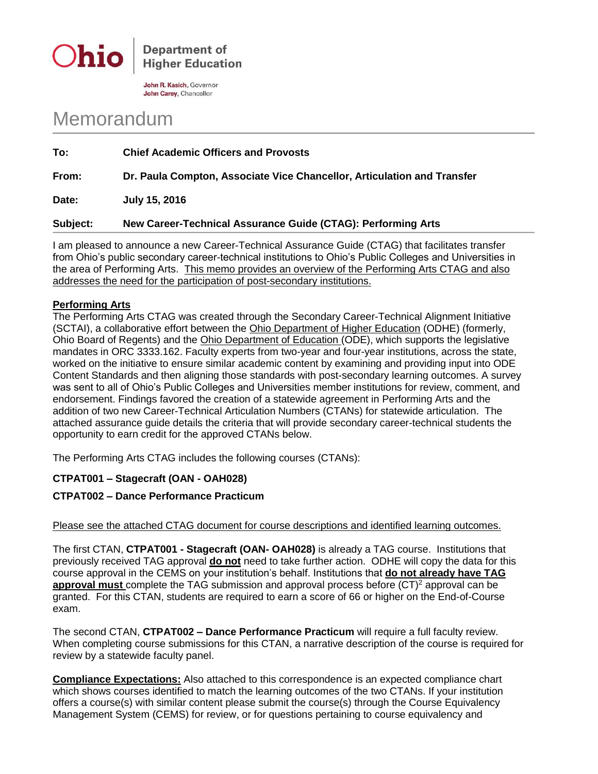

**Department of Higher Education** 

John R. Kasich, Governor John Carey, Chancellor

# Memorandum

**To: Chief Academic Officers and Provosts From: Dr. Paula Compton, Associate Vice Chancellor, Articulation and Transfer Date: July 15, 2016**

## **Subject: New Career-Technical Assurance Guide (CTAG): Performing Arts**

I am pleased to announce a new Career-Technical Assurance Guide (CTAG) that facilitates transfer from Ohio's public secondary career-technical institutions to Ohio's Public Colleges and Universities in the area of Performing Arts. This memo provides an overview of the Performing Arts CTAG and also addresses the need for the participation of post-secondary institutions.

#### **Performing Arts**

The Performing Arts CTAG was created through the Secondary Career-Technical Alignment Initiative (SCTAI), a collaborative effort between the Ohio Department of Higher Education (ODHE) (formerly, Ohio Board of Regents) and the Ohio Department of Education (ODE), which supports the legislative mandates in ORC 3333.162. Faculty experts from two-year and four-year institutions, across the state, worked on the initiative to ensure similar academic content by examining and providing input into ODE Content Standards and then aligning those standards with post-secondary learning outcomes. A survey was sent to all of Ohio's Public Colleges and Universities member institutions for review, comment, and endorsement. Findings favored the creation of a statewide agreement in Performing Arts and the addition of two new Career-Technical Articulation Numbers (CTANs) for statewide articulation. The attached assurance guide details the criteria that will provide secondary career-technical students the opportunity to earn credit for the approved CTANs below.

The Performing Arts CTAG includes the following courses (CTANs):

## **CTPAT001 – Stagecraft (OAN - OAH028)**

## **CTPAT002 – Dance Performance Practicum**

#### Please see the attached CTAG document for course descriptions and identified learning outcomes.

The first CTAN, **CTPAT001 - Stagecraft (OAN- OAH028)** is already a TAG course. Institutions that previously received TAG approval **do not** need to take further action. ODHE will copy the data for this course approval in the CEMS on your institution's behalf. Institutions that **do not already have TAG approval must** complete the TAG submission and approval process before (CT)<sup>2</sup> approval can be granted. For this CTAN, students are required to earn a score of 66 or higher on the End-of-Course exam.

The second CTAN, **CTPAT002 – Dance Performance Practicum** will require a full faculty review. When completing course submissions for this CTAN, a narrative description of the course is required for review by a statewide faculty panel.

**Compliance Expectations:** Also attached to this correspondence is an expected compliance chart which shows courses identified to match the learning outcomes of the two CTANs. If your institution offers a course(s) with similar content please submit the course(s) through the Course Equivalency Management System (CEMS) for review, or for questions pertaining to course equivalency and